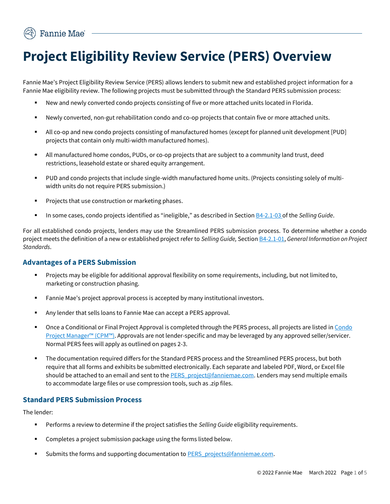# **Project Eligibility Review Service (PERS) Overview**

Fannie Mae's Project Eligibility Review Service (PERS) allows lenders to submit new and established project information for a Fannie Mae eligibility review. The following projects must be submitted through the Standard PERS submission process:

- New and newly converted condo projects consisting of five or more attached units located in Florida.
- Newly converted, non-gut rehabilitation condo and co-op projects that contain five or more attached units.
- All co-op and new condo projects consisting of manufactured homes (except for planned unit development [PUD] projects that contain only multi-width manufactured homes).
- All manufactured home condos, PUDs, or co-op projects that are subject to a community land trust, deed restrictions, leasehold estate or shared equity arrangement.
- PUD and condo projects that include single-width manufactured home units. (Projects consisting solely of multiwidth units do not require PERS submission.)
- Projects that use construction or marketing phases.
- In some cases, condo projects identified as "ineligible," as described in Sectio[n B4-2.1-03](https://selling-guide.fanniemae.com/Selling-Guide/Origination-thru-Closing/Subpart-B4-Underwriting-Property/Chapter-B4-2-Project-Standards/Section-B4-2-1-General-Project-Standards/1736879361/B4-2-1-03-Ineligible-Projects-06-05-2018.htm?SearchType=coveo&_ga=2.29051193.480304340.1593432262-277336437.1590583091) of the *Selling Guide*.

For all established condo projects, lenders may use the Streamlined PERS submission process. To determine whether a condo project meets the definition of a new or established project refer to *Selling Guide,* Sectio[n B4-2.1-01,](https://www.fanniemae.com/content/guide/selling/b4/2.1/01.html) *General Information on Project Standards*.

## **Advantages of a PERS Submission**

- Projects may be eligible for additional approval flexibility on some requirements, including, but not limited to, marketing or construction phasing.
- Fannie Mae's project approval process is accepted by many institutional investors.
- Any lender that sells loans to Fannie Mae can accept a PERS approval.
- Once a Conditional or Final Project Approval is completed through the PERS process, all projects are listed in Condo [Project Manager](https://singlefamily.fanniemae.com/applications-technology/condo-project-manager)™ (CPM™). Approvals are not lender-specific and may be leveraged by any approved seller/servicer. Normal PERS fees will apply as outlined on pages 2-3.
- The documentation required differs for the Standard PERS process and the Streamlined PERS process, but both require that all forms and exhibits be submitted electronically. Each separate and labeled PDF, Word, or Excel file should be attached to an email and sent to th[e PERS\\_project@fanniemae.com.](mailto:PERS_project@fanniemae.com) Lenders may send multiple emails to accommodate large files or use compression tools, such as .zip files.

## **Standard PERS Submission Process**

The lender:

- Performs a review to determine if the project satisfies the *Selling Guide* eligibility requirements.
- Completes a project submission package using the forms listed below.
- Submits the forms and supporting documentation t[o PERS\\_projects@fanniemae.com.](mailto:PERS_projects@fanniemae.com)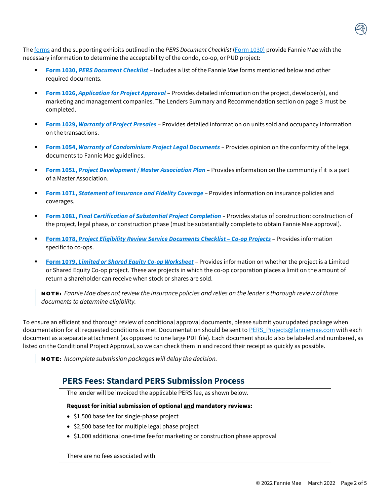The [forms](https://singlefamily.fanniemae.com/selling-servicing-guide-forms) and the supporting exhibits outlined in the *PERS Document Checklist* [\(Form 1030\)](https://selling-guide.fanniemae.com/Selling-Guide/Origination-thru-Closing/Subpart-B4-Underwriting-Property/Chapter-B4-2-Project-Standards/Section-B4-2-2-Project-Eligibility/1736880891/B4-2-2-06-Project-Eligibility-Review-Service-PERS-06-05-2018.htm?SearchType=coveo&_ga=2.74251984.371846695.1591893418-1211329737.1591893418) provide Fannie Mae with the necessary information to determine the acceptability of the condo, co-op, or PUD project:

- **Form 1030, [PERS Document Checklist](https://singlefamily.fanniemae.com/media/document/pdf/form-1030)** Includes a list of the Fannie Mae forms mentioned below and other required documents.
- **Eorm 1026, [Application for Project Approval](https://singlefamily.fanniemae.com/media/document/pdf/form-1026)** Provides detailed information on the project, developer(s), and marketing and management companies. The Lenders Summary and Recommendation section on page 3 must be completed.
- **Form 1029,** *[Warranty of Project Presales](https://singlefamily.fanniemae.com/media/document/pdf/form-1029)* Provides detailed information on units sold and occupancy information on the transactions.
- **Form 1054, [Warranty of Condominium Project Legal Documents](https://singlefamily.fanniemae.com/media/document/pdf/form-1054)** Provides opinion on the conformity of the legal documents to Fannie Mae guidelines.
- **Form 1051,** *[Project Development / Master Association Plan](https://singlefamily.fanniemae.com/media/document/pdf/form-1051) –* Provides information on the community if it is a part of a Master Association.
- **Form 1071,** *[Statement of Insurance](file:///C:/Users/e3ud6h/Downloads/1071%20(1).pdf) and Fidelity Coverage* Provides information on insurance policies and coverages.
- **Form 1081, [Final Certification of Substantial Project Completion](https://singlefamily.fanniemae.com/media/document/pdf/form-1081)** Provides status of construction: construction of the project, legal phase, or construction phase (must be substantially complete to obtain Fannie Mae approval).
- **Form 1078,** *[Project Eligibility Review Service Documents Checklist](https://singlefamily.fanniemae.com/media/document/pdf/form-1078) – Co-op Projects* Provides information specific to co-ops.
- **Form 1079,** *[Limited or Shared Equity Co-op Worksheet](https://singlefamily.fanniemae.com/media/document/pdf/form-1079)* Provides information on whether the project is a Limited or Shared Equity Co-op project. These are projects in which the co-op corporation places a limit on the amount of return a shareholder can receive when stock or shares are sold.

NO T E : *Fannie Mae does not review the insurance policies and relies on the lender's thorough review of those documents to determine eligibility.*

To ensure an efficient and thorough review of conditional approval documents, please submit your updated package when documentation for all requested conditions is met. Documentation should be sent t[o PERS\\_Projects@fanniemae.com](mailto:PERS_projects@fanniemae.com) with each document as a separate attachment (as opposed to one large PDF file). Each document should also be labeled and numbered, as listed on the Conditional Project Approval, so we can check them in and record their receipt as quickly as possible.

NO T E : *Incomplete submission packages will delay the decision.*

# **PERS Fees: Standard PERS Submission Process**

The lender will be invoiced the applicable PERS fee, as shown below.

#### **Request for initial submission of optional and mandatory reviews:**

- \$1,500 base fee for single-phase project
- \$2,500 base fee for multiple legal phase project
- \$1,000 additional one-time fee for marketing or construction phase approval

There are no fees associated with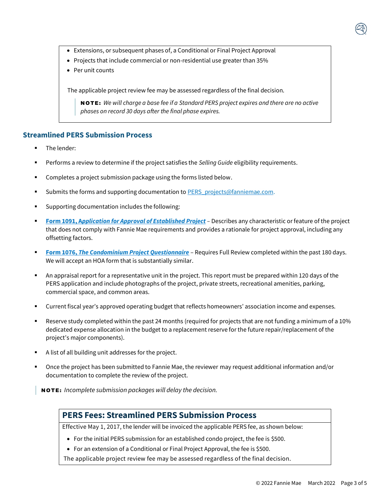- Extensions, or subsequent phases of, a Conditional or Final Project Approval
- Projects that include commercial or non-residential use greater than 35%
- Per unit counts

The applicable project review fee may be assessed regardless of the final decision.

NO T E : *We will charge a base fee if a Standard PERS project expires and there are no active phases on record 30 days after the final phase expires.*

# **Streamlined PERS Submission Process**

- The lender:
- Performs a review to determine if the project satisfies the *Selling Guide* eligibility requirements.
- Completes a project submission package using the forms listed below.
- Submits the forms and supporting documentation t[o PERS\\_projects@fanniemae.com.](mailto:PERS_projects@fanniemae.com)
- Supporting documentation includes the following:
- **Form 1091, A***[pplication for Approval of Established Project](https://singlefamily.fanniemae.com/media/document/pdf/form-1091) –* Describes any characteristic or feature of the project that does not comply with Fannie Mae requirements and provides a rationale for project approval, including any offsetting factors.
- **Form 1076, [The Condominium Project Questionnaire](https://singlefamily.fanniemae.com/media/document/pdf/form-1076)** Requires Full Review completed within the past 180 days. We will accept an HOA form that is substantially similar.
- An appraisal report for a representative unit in the project. This report must be prepared within 120 days of the PERS application and include photographs of the project, private streets, recreational amenities, parking, commercial space, and common areas.
- Current fiscal year's approved operating budget that reflects homeowners' association income and expenses.
- Reserve study completed within the past 24 months (required for projects that are not funding a minimum of a 10% dedicated expense allocation in the budget to a replacement reserve for the future repair/replacement of the project's major components).
- A list of all building unit addresses for the project.
- Once the project has been submitted to Fannie Mae, the reviewer may request additional information and/or documentation to complete the review of the project.

NO T E : *Incomplete submission packages will delay the decision.*

# **PERS Fees: Streamlined PERS Submission Process**

Effective May 1, 2017, the lender will be invoiced the applicable PERS fee, as shown below:

- For the initial PERS submission for an established condo project, the fee is \$500.
- For an extension of a Conditional or Final Project Approval, the fee is \$500.

The applicable project review fee may be assessed regardless of the final decision.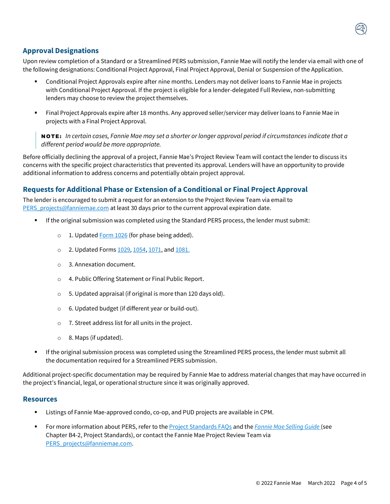

## **Approval Designations**

Upon review completion of a Standard or a Streamlined PERS submission, Fannie Mae will notify the lender via email with one of the following designations: Conditional Project Approval, Final Project Approval, Denial or Suspension of the Application.

- Conditional Project Approvals expire after nine months. Lenders may not deliver loans to Fannie Mae in projects with Conditional Project Approval. If the project is eligible for a lender-delegated Full Review, non-submitting lenders may choose to review the project themselves.
- Final Project Approvals expire after 18 months. Any approved seller/servicer may deliver loans to Fannie Mae in projects with a Final Project Approval.

NOTE: *In certain cases, Fannie Mae may set a shorter or longer approval period if circumstances indicate that a different period would be more appropriate.*

Before officially declining the approval of a project, Fannie Mae's Project Review Team will contact the lender to discuss its concerns with the specific project characteristics that prevented its approval. Lenders will have an opportunity to provide additional information to address concerns and potentially obtain project approval.

## **Requests for Additional Phase or Extension of a Conditional or Final Project Approval**

The lender is encouraged to submit a request for an extension to the Project Review Team via email to PERS projects@fanniemae.com at least 30 days prior to the current approval expiration date.

- If the original submission was completed using the Standard PERS process, the lender must submit:
	- $\circ$  1. Update[d Form 1026](https://singlefamily.fanniemae.com/media/document/pdf/form-1026) (for phase being added).
	- o 2. Updated Form[s 1029,](https://singlefamily.fanniemae.com/selling-servicing-guide-forms) [1054,](https://singlefamily.fanniemae.com/media/document/pdf/form-1054) [1071,](https://singlefamily.fanniemae.com/media/document/pdf/form-1071) and [1081.](https://singlefamily.fanniemae.com/media/document/pdf/form-1081)
	- o 3. Annexation document.
	- o 4. Public Offering Statement or Final Public Report.
	- o 5. Updated appraisal (if original is more than 120 days old).
	- o 6. Updated budget (if different year or build-out).
	- o 7. Street address list for all units in the project.
	- o 8. Maps (if updated).
- If the original submission process was completed using the Streamlined PERS process, the lender must submit all the documentation required for a Streamlined PERS submission.

Additional project-specific documentation may be required by Fannie Mae to address material changes that may have occurred in the project's financial, legal, or operational structure since it was originally approved.

#### **Resources**

- Listings of Fannie Mae-approved condo, co-op, and PUD projects are available in CPM.
- For more information about PERS, refer to the [Project Standards FAQs](https://singlefamily.fanniemae.com/media/5511/display) and the *[Fannie Mae Selling Guide](https://selling-guide.fanniemae.com/)* (see Chapter B4-2, Project Standards), or contact the Fannie Mae Project Review Team via [PERS\\_projects@fanniemae.com.](mailto:PERS_projects@fanniemae.com)